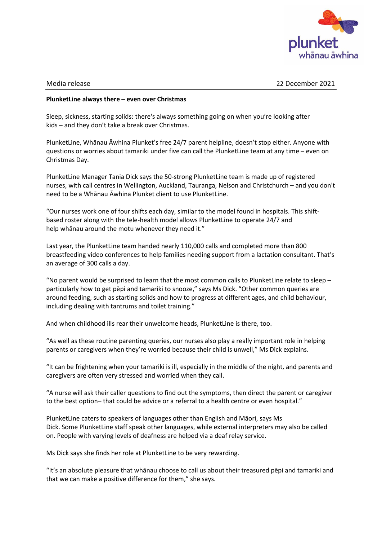

Media release 22 December 2021

## **PlunketLine always there – even over Christmas**

Sleep, sickness, starting solids: there's always something going on when you're looking after kids – and they don't take a break over Christmas.

PlunketLine, Whānau Āwhina Plunket's free 24/7 parent helpline, doesn't stop either. Anyone with questions or worries about tamariki under five can call the PlunketLine team at any time – even on Christmas Day.

PlunketLine Manager Tania Dick says the 50-strong PlunketLine team is made up of registered nurses, with call centres in Wellington, Auckland, Tauranga, Nelson and Christchurch – and you don't need to be a Whānau Āwhina Plunket client to use PlunketLine.

"Our nurses work one of four shifts each day, similar to the model found in hospitals. This shiftbased roster along with the tele-health model allows PlunketLine to operate 24/7 and help whānau around the motu whenever they need it."

Last year, the PlunketLine team handed nearly 110,000 calls and completed more than 800 breastfeeding video conferences to help families needing support from a lactation consultant. That's an average of 300 calls a day.

"No parent would be surprised to learn that the most common calls to PlunketLine relate to sleep – particularly how to get pēpi and tamariki to snooze," says Ms Dick. "Other common queries are around feeding, such as starting solids and how to progress at different ages, and child behaviour, including dealing with tantrums and toilet training."

And when childhood ills rear their unwelcome heads, PlunketLine is there, too.

"As well as these routine parenting queries, our nurses also play a really important role in helping parents or caregivers when they're worried because their child is unwell," Ms Dick explains.

"It can be frightening when your tamariki is ill, especially in the middle of the night, and parents and caregivers are often very stressed and worried when they call.

"A nurse will ask their caller questions to find out the symptoms, then direct the parent or caregiver to the best option– that could be advice or a referral to a health centre or even hospital."

PlunketLine caters to speakers of languages other than English and Māori, says Ms Dick. Some PlunketLine staff speak other languages, while external interpreters may also be called on. People with varying levels of deafness are helped via a deaf relay service.

Ms Dick says she finds her role at PlunketLine to be very rewarding.

"It's an absolute pleasure that whānau choose to call us about their treasured pēpi and tamariki and that we can make a positive difference for them," she says.